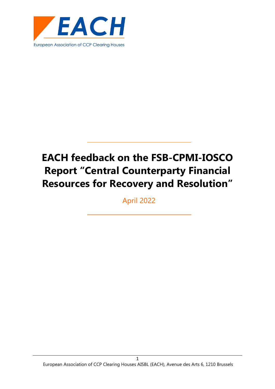

April 2022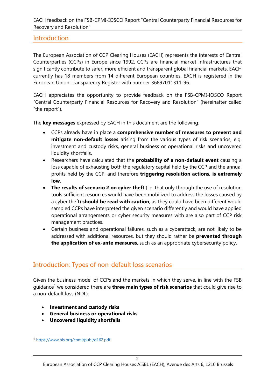# **Introduction**

The European Association of CCP Clearing Houses (EACH) represents the interests of Central Counterparties (CCPs) in Europe since 1992. CCPs are financial market infrastructures that significantly contribute to safer, more efficient and transparent global financial markets. EACH currently has 18 members from 14 different European countries. EACH is registered in the European Union Transparency Register with number 36897011311-96.

EACH appreciates the opportunity to provide feedback on the FSB-CPMI-IOSCO Report "Central Counterparty Financial Resources for Recovery and Resolution" (hereinafter called "the report").

The **key messages** expressed by EACH in this document are the following:

- CCPs already have in place a **comprehensive number of measures to prevent and mitigate non-default losses** arising from the various types of risk scenarios, e.g. investment and custody risks, general business or operational risks and uncovered liquidity shortfalls.
- Researchers have calculated that the **probability of a non-default event** causing a loss capable of exhausting both the regulatory capital held by the CCP and the annual profits held by the CCP, and therefore **triggering resolution actions, is extremely low**.
- **The results of scenario 2 on cyber theft** (i.e. that only through the use of resolution tools sufficient resources would have been mobilized to address the losses caused by a cyber theft) **should be read with caution**, as they could have been different would sampled CCPs have interpreted the given scenario differently and would have applied operational arrangements or cyber security measures with are also part of CCP risk management practices.
- Certain business and operational failures, such as a cyberattack, are not likely to be addressed with additional resources, but they should rather be **prevented through the application of ex-ante measures**, such as an appropriate cybersecurity policy.

# Introduction: Types of non-default loss scenarios

Given the business model of CCPs and the markets in which they serve, in line with the FSB guidance[1](#page-1-0) we considered there are **three main types of risk scenarios** that could give rise to a non-default loss (NDL):

- **Investment and custody risks**
- **General business or operational risks**
- **Uncovered liquidity shortfalls**

<span id="page-1-0"></span><sup>1</sup> <https://www.bis.org/cpmi/publ/d162.pdf>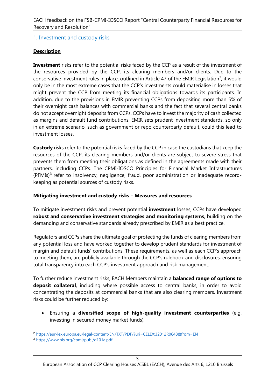## 1. Investment and custody risks

## **Description**

**Investment** risks refer to the potential risks faced by the CCP as a result of the investment of the resources provided by the CCP, its clearing members and/or clients. Due to the conservative investment rules in place, outlined in Article 47 of the EMIR Legislation<sup>[2](#page-2-0)</sup>, it would only be in the most extreme cases that the CCP's investments could materialise in losses that might prevent the CCP from meeting its financial obligations towards its participants. In addition, due to the provisions in EMIR preventing CCPs from depositing more than 5% of their overnight cash balances with commercial banks and the fact that several central banks do not accept overnight deposits from CCPs, CCPs have to invest the majority of cash collected as margins and default fund contributions. EMIR sets prudent investment standards, so only in an extreme scenario, such as government or repo counterparty default, could this lead to investment losses.

**Custody** risks refer to the potential risks faced by the CCP in case the custodians that keep the resources of the CCP, its clearing members and/or clients are subject to severe stress that prevents them from meeting their obligations as defined in the agreements made with their partners, including CCPs. The CPMI-IOSCO Principles for Financial Market Infrastructures  $(PFMIs)^3$  $(PFMIs)^3$  refer to insolvency, negligence, fraud, poor administration or inadequate recordkeeping as potential sources of custody risks.

#### **Mitigating investment and custody risks – Measures and resources**

To mitigate investment risks and prevent potential **investment** losses, CCPs have developed **robust and conservative investment strategies and monitoring systems**, building on the demanding and conservative standards already prescribed by EMIR as a best practice.

Regulators and CCPs share the ultimate goal of protecting the funds of clearing members from any potential loss and have worked together to develop prudent standards for investment of margin and default funds' contributions. These requirements, as well as each CCP's approach to meeting them, are publicly available through the CCP's rulebook and disclosures, ensuring total transparency into each CCP's investment approach and risk management.

To further reduce investment risks, EACH Members maintain a **balanced range of options to deposit collateral**, including where possible access to central banks, in order to avoid concentrating the deposits at commercial banks that are also clearing members. Investment risks could be further reduced by:

• Ensuring a **diversified scope of high-quality investment counterparties** (e.g. investing in secured money market funds);

<span id="page-2-0"></span><sup>2</sup> <https://eur-lex.europa.eu/legal-content/EN/TXT/PDF/?uri=CELEX:32012R0648&from=EN>

<span id="page-2-1"></span><sup>3</sup> <https://www.bis.org/cpmi/publ/d101a.pdf>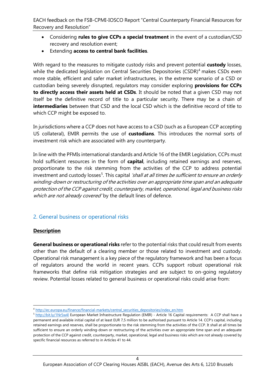- Considering **rules to give CCPs a special treatment** in the event of a custodian/CSD recovery and resolution event;
- Extending **access to central bank facilities**.

With regard to the measures to mitigate custody risks and prevent potential **custody** losses, while the dedicated legislation on Central Securities Depositories (CSDR)<sup>[4](#page-3-0)</sup> makes CSDs even more stable, efficient and safer market infrastructures, in the extreme scenario of a CSD or custodian being severely disrupted, regulators may consider exploring **provisions for CCPs to directly access their assets held at CSDs**. It should be noted that a given CSD may not itself be the definitive record of title to a particular security. There may be a chain of **intermediaries** between that CSD and the local CSD which is the definitive record of title to which CCP might be exposed to.

In jurisdictions where a CCP does not have access to a CSD (such as a European CCP accepting US collateral), EMIR permits the use of **custodians**. This introduces the normal sorts of investment risk which are associated with any counterparty.

In line with the PFMIs international standards and Article 16 of the EMIR Legislation, CCPs must hold sufficient resources in the form of **capital**, including retained earnings and reserves, proportionate to the risk stemming from the activities of the CCP to address potential investment and custody losses<sup>[5](#page-3-1)</sup>. This capital *'shall at all times be sufficient to ensure an orderly* winding-down or restructuring of the activities over an appropriate time span and an adequate protection of the CCP against credit, counterparty, market, operational, legal and business risks which are not already covered by the default lines of defence.

#### 2. General business or operational risks

#### **Description**

**General business or operational risks** refer to the potential risks that could result from events other than the default of a clearing member or those related to investment and custody. Operational risk management is a key piece of the regulatory framework and has been a focus of regulators around the world in recent years. CCPs support robust operational risk frameworks that define risk mitigation strategies and are subject to on-going regulatory review. Potential losses related to general business or operational risks could arise from:

<span id="page-3-0"></span><sup>4</sup> [http://ec.europa.eu/finance/financial-markets/central\\_securities\\_depositories/index\\_en.htm](http://ec.europa.eu/finance/financial-markets/central_securities_depositories/index_en.htm)

<span id="page-3-1"></span> $5$  <http://bit.ly/1Nr5w4l> European Market Infrastructure Regulation (EMIR) - Article 16 Capital requirements: A CCP shall have a permanent and available initial capital of at least EUR 7,5 million to be authorised pursuant to Article 14. CCP's capital, including retained earnings and reserves, shall be proportionate to the risk stemming from the activities of the CCP. It shall at all times be sufficient to ensure an orderly winding-down or restructuring of the activities over an appropriate time span and an adequate protection of the CCP against credit, counterparty, market, operational, legal and business risks which are not already covered by specific financial resources as referred to in Articles 41 to 44.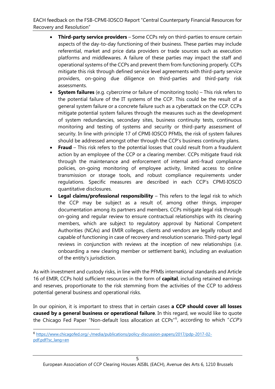- **Third-party service providers** Some CCPs rely on third-parties to ensure certain aspects of the day-to-day functioning of their business. These parties may include referential, market and price data providers or trade sources such as execution platforms and middlewares. A failure of these parties may impact the staff and operational systems of the CCPs and prevent them from functioning properly. CCPs mitigate this risk through defined service level agreements with third-party service providers, on-going due diligence on third-parties and third-party risk assessments.
- **System failures** (e.g. cybercrime or failure of monitoring tools) This risk refers to the potential failure of the IT systems of the CCP. This could be the result of a general system failure or a concrete failure such as a cyberattack on the CCP. CCPs mitigate potential system failures through the measures such as the development of system redundancies, secondary sites, business continuity tests, continuous monitoring and testing of systems and security or third-party assessment of security. In line with principle 17 of CPMI-IOSCO PFMIs, the risk of system failures should be addressed amongst other through the CCP's business continuity plans.
- **Fraud** This risk refers to the potential losses that could result from a fraudulent action by an employee of the CCP or a clearing member. CCPs mitigate fraud risk through the maintenance and enforcement of internal anti-fraud compliance policies, on-going monitoring of employee activity, limited access to online transmission or storage tools, and robust compliance requirements under regulations. Specific measures are described in each CCP's CPMI-IOSCO quantitative disclosures.
- **Legal claims/professional responsibility** This refers to the legal risk to which the CCP may be subject as a result of, among other things, improper documentation among its partners and members. CCPs mitigate legal risk through on-going and regular review to ensure contractual relationships with its clearing members, which are subject to regulatory approval by National Competent Authorities (NCAs) and EMIR colleges, clients and vendors are legally robust and capable of functioning in case of recovery and resolution scenario. Third-party legal reviews in conjunction with reviews at the inception of new relationships (i.e. onboarding a new clearing member or settlement bank), including an evaluation of the entity's jurisdiction.

As with investment and custody risks, in line with the PFMIs international standards and Article 16 of EMIR, CCPs hold sufficient resources in the form of **capital**, including retained earnings and reserves, proportionate to the risk stemming from the activities of the CCP to address potential general business and operational risks.

In our opinion, it is important to stress that in certain cases **a CCP should cover all losses caused by a general business or operational failure**. In this regard, we would like to quote the Chicago Fed Paper "Non-default loss allocation at CCPs"<sup>[6](#page-4-0)</sup>, according to which "CCP's

<span id="page-4-0"></span><sup>6</sup> [https://www.chicagofed.org/-/media/publications/policy-discussion-papers/2017/pdp-2017-02](https://www.chicagofed.org/-/media/publications/policy-discussion-papers/2017/pdp-2017-02-pdf.pdf?sc_lang=en) [pdf.pdf?sc\\_lang=en](https://www.chicagofed.org/-/media/publications/policy-discussion-papers/2017/pdp-2017-02-pdf.pdf?sc_lang=en)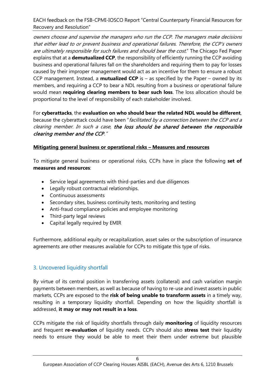owners choose and supervise the managers who run the CCP. The managers make decisions that either lead to or prevent business and operational failures. Therefore, the CCP's owners are ultimately responsible for such failures and should bear the cost." The Chicago Fed Paper explains that at a **demutualized CCP**, the responsibility of efficiently running the CCP avoiding business and operational failures fall on the shareholders and requiring them to pay for losses caused by their improper management would act as an incentive for them to ensure a robust CCP management. Instead, a **mutualized CCP** is – as specified by the Paper – owned by its members, and requiring a CCP to bear a NDL resulting from a business or operational failure would mean **requiring clearing members to bear such loss**. The loss allocation should be proportional to the level of responsibility of each stakeholder involved.

For **cyberattacks**, the **evaluation on who should bear the related NDL would be different**, because the cyberattack could have been "facilitated by a connection between the CCP and a clearing member. In such a case, the loss should be shared between the responsible clearing member and the CCP."

#### **Mitigating general business or operational risks – Measures and resources**

To mitigate general business or operational risks, CCPs have in place the following **set of measures and resources**:

- Service legal agreements with third-parties and due diligences
- Legally robust contractual relationships.
- Continuous assessments
- Secondary sites, business continuity tests, monitoring and testing
- Anti-fraud compliance policies and employee monitoring
- Third-party legal reviews
- Capital legally required by EMIR

Furthermore, additional equity or recapitalization, asset sales or the subscription of insurance agreements are other measures available for CCPs to mitigate this type of risks.

# 3. Uncovered liquidity shortfall

By virtue of its central position in transferring assets (collateral) and cash variation margin payments between members, as well as because of having to re-use and invest assets in public markets, CCPs are exposed to the **risk of being unable to transform assets** in a timely way, resulting in a temporary liquidity shortfall. Depending on how the liquidity shortfall is addressed, **it may or may not result in a loss**.

CCPs mitigate the risk of liquidity shortfalls through daily **monitoring** of liquidity resources and frequent **re-evaluation** of liquidity needs. CCPs should also **stress test** their liquidity needs to ensure they would be able to meet their them under extreme but plausible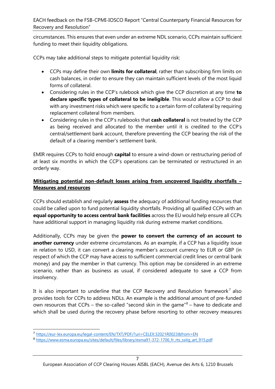circumstances. This ensures that even under an extreme NDL scenario, CCPs maintain sufficient funding to meet their liquidity obligations.

CCPs may take additional steps to mitigate potential liquidity risk:

- CCPs may define their own **limits for collateral**, rather than subscribing firm limits on cash balances, in order to ensure they can maintain sufficient levels of the most liquid forms of collateral.
- Considering rules in the CCP's rulebook which give the CCP discretion at any time **to declare specific types of collateral to be ineligible**. This would allow a CCP to deal with any investment risks which were specific to a certain form of collateral by requiring replacement collateral from members.
- Considering rules in the CCP's rulebooks that **cash collateral** is not treated by the CCP as being received and allocated to the member until it is credited to the CCP's central/settlement bank account, therefore preventing the CCP bearing the risk of the default of a clearing member's settlement bank.

EMIR requires CCPs to hold enough **capital** to ensure a wind-down or restructuring period of at least six months in which the CCP's operations can be terminated or restructured in an orderly way.

#### **Mitigating potential non-default losses arising from uncovered liquidity shortfalls – Measures and resources**

CCPs should establish and regularly **assess** the adequacy of additional funding resources that could be called upon to fund potential liquidity shortfalls. Providing all qualified CCPs with an **equal opportunity to access central bank facilities** across the EU would help ensure all CCPs have additional support in managing liquidity risk during extreme market conditions.

Additionally, CCPs may be given the **power to convert the currency of an account to another currency** under extreme circumstances. As an example, if a CCP has a liquidity issue in relation to USD, it can convert a clearing member's account currency to EUR or GBP (in respect of which the CCP may have access to sufficient commercial credit lines or central bank money) and pay the member in that currency. This option may be considered in an extreme scenario, rather than as business as usual, if considered adequate to save a CCP from insolvency.

It is also important to underline that the CCP Recovery and Resolution framework<sup>[7](#page-6-0)</sup> also provides tools for CCPs to address NDLs. An example is the additional amount of pre-funded own resources that CCPs – the so-called "second skin in the game" $8$  – have to dedicate and which shall be used during the recovery phase before resorting to other recovery measures

<span id="page-6-0"></span><sup>7</sup> <https://eur-lex.europa.eu/legal-content/EN/TXT/PDF/?uri=CELEX:32021R0023&from=EN>

<span id="page-6-1"></span><sup>8</sup> https://www.esma.europa.eu/sites/default/files/library/esma91-372-1706 fr\_rts\_ssitg\_art\_915.pdf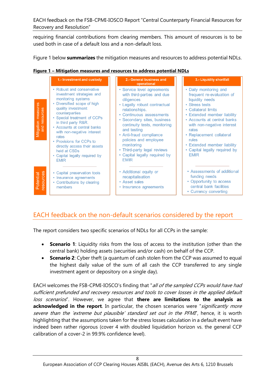requiring financial contributions from clearing members. This amount of resources is to be used both in case of a default loss and a non-default loss.

Figure 1 below **summarizes** the mitigation measures and resources to address potential NDLs.

|  |  |  |  | Figure 1 - Mitigation measures and resources to address potential NDLs |  |
|--|--|--|--|------------------------------------------------------------------------|--|
|  |  |  |  |                                                                        |  |

|                                         | 1.- Investment and custody                                                                                                                                                                                                                                                                                                                                                                                  | 2.- General business and<br>operational                                                                                                                                                                                                                                                                                                                                             | 3.- Liquidity shortfall                                                                                                                                                                                                                                                                                                                  |
|-----------------------------------------|-------------------------------------------------------------------------------------------------------------------------------------------------------------------------------------------------------------------------------------------------------------------------------------------------------------------------------------------------------------------------------------------------------------|-------------------------------------------------------------------------------------------------------------------------------------------------------------------------------------------------------------------------------------------------------------------------------------------------------------------------------------------------------------------------------------|------------------------------------------------------------------------------------------------------------------------------------------------------------------------------------------------------------------------------------------------------------------------------------------------------------------------------------------|
| measures<br>and resources<br>Mitigation | • Robust and conservative<br>investment strategies and<br>monitoring systems<br>• Diversified scope of high<br>quality investment<br>counterparties<br>• Special treatment of CCPs<br>in third party R&R.<br>• Accounts at central banks<br>with non-negative interest<br>rates<br>• Provisions for CCPs to<br>directly access their assets<br>held at CSDs<br>• Capital legally required by<br><b>EMIR</b> | • Service level agreements<br>with third-parties and due<br>diligences<br>• Legally robust contractual<br>relationships.<br>• Continuous assessments<br>• Secondary sites, business<br>continuity tests, monitoring<br>and testing<br>• Anti-fraud compliance<br>policies and employee<br>monitoring<br>• Third-party legal reviews<br>• Capital legally required by<br><b>FMIR</b> | • Daily monitoring and<br>frequent re-evaluation of<br>liquidity needs<br>• Stress tests<br>• Collateral limits<br>• Extended member liability<br>• Accounts at central banks<br>with non-negative interest<br>rates<br>• Replacement collateral<br>rules<br>• Extended member liability<br>• Capital legally required by<br><b>EMIR</b> |
| ources<br>Potential<br>ō<br>ğΰ          | • Capital preservation tools<br>• Insurance agreements<br>• Contributions by clearing<br>members                                                                                                                                                                                                                                                                                                            | • Additional equity or<br>recapitalisation<br>• Asset sales<br>• Insurance agreements                                                                                                                                                                                                                                                                                               | • Assessments of additional<br>funding needs<br>• Opportunity to access<br>central bank facilities<br>• Currency converting                                                                                                                                                                                                              |

# EACH feedback on the non-default scenarios considered by the report

The report considers two specific scenarios of NDLs for all CCPs in the sample:

- **Scenario 1**: Liquidity risks from the loss of access to the institution (other than the central bank) holding assets (securities and/or cash) on behalf of the CCP.
- **Scenario 2**: Cyber theft (a quantum of cash stolen from the CCP was assumed to equal the highest daily value of the sum of all cash the CCP transferred to any single investment agent or depository on a single day).

EACH welcomes the FSB-CPMI-IOSCO's finding that "all of the sampled CCPs would have had sufficient prefunded and recovery resources and tools to cover losses in the applied default loss scenarios". However, we agree that **there are limitations to the analysis as acknowledged in the report**. In particular, the chosen scenarios were "significantly more severe than the 'extreme but plausible' standard set out in the PFMI', hence, it is worth highlighting that the assumptions taken for the stress losses calculation in a default event have indeed been rather rigorous (cover 4 with doubled liquidation horizon vs. the general CCP calibration of a cover-2 in 99.9% confidence level).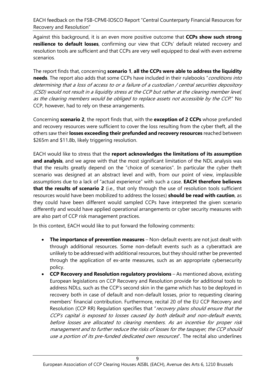Against this background, it is an even more positive outcome that **CCPs show such strong resilience to default losses**, confirming our view that CCPs' default related recovery and resolution tools are sufficient and that CCPs are very well equipped to deal with even extreme scenarios.

The report finds that, concerning **scenario 1**, **all the CCPs were able to address the liquidity**  needs. The report also adds that some CCPs have included in their rulebooks "conditions into determining that a loss of access to or a failure of a custodian / central securities depository (CSD) would not result in a liquidity stress at the CCP but rather at the clearing member level, as the clearing members would be obliged to replace assets not accessible by the CCP." No CCP, however, had to rely on these arrangements.

Concerning **scenario 2**, the report finds that, with the **exception of 2 CCPs** whose prefunded and recovery resources were sufficient to cover the loss resulting from the cyber theft, all the others saw their **losses exceeding their prefunded and recovery resources** reached between \$265m and \$11.8b, likely triggering resolution.

EACH would like to stress that the **report acknowledges the limitations of its assumption and analysis**, and we agree with that the most significant limitation of the NDL analysis was that the results greatly depend on the "choice of scenarios". In particular the cyber theft scenario was designed at an abstract level and with, from our point of view, implausible assumptions due to a lack of "actual experience" with such a case. **EACH therefore believes that the results of scenario 2** (i.e., that only through the use of resolution tools sufficient resources would have been mobilized to address the losses) **should be read with caution**, as they could have been different would sampled CCPs have interpreted the given scenario differently and would have applied operational arrangements or cyber security measures with are also part of CCP risk management practices.

In this context, EACH would like to put forward the following comments:

- **The importance of prevention measures** Non-default events are not just dealt with through additional resources. Some non-default events such as a cyberattack are unlikely to be addressed with additional resources, but they should rather be prevented through the application of ex-ante measures, such as an appropriate cybersecurity policy.
- **CCP Recovery and Resolution regulatory provisions** As mentioned above, existing European legislations on CCP Recovery and Resolution provide for additional tools to address NDLs, such as the CCP's second skin in the game which has to be deployed in recovery both in case of default and non-default losses, prior to requesting clearing members' financial contribution. Furthermore, recital 20 of the EU CCP Recovery and Resolution (CCP RR) Regulation specifies that "recovery plans should ensure that the CCP's capital is exposed to losses caused by both default and non-default events, before losses are allocated to clearing members. As an incentive for proper risk management and to further reduce the risks of losses for the taxpayer, the CCP should use a portion of its pre-funded dedicated own resources". The recital also underlines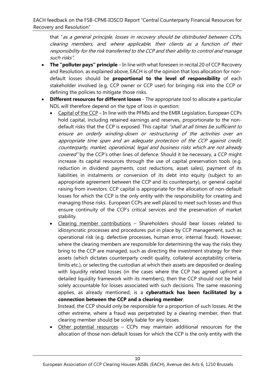that "as a general principle, losses in recovery should be distributed between CCPs, clearing members, and, where applicable, their clients as a function of their responsibility for the risk transferred to the CCP and their ability to control and manage such risks".

- **The "polluter pays" principle** In line with what foreseen in recital 20 of CCP Recovery and Resolution, as explained above, EACH is of the opinion that loss allocation for nondefault losses should be **proportional to the level of responsibility** of each stakeholder involved (e.g. CCP owner or CCP user) for bringing risk into the CCP or defining the policies to mitigate those risks.
- **Different resources for different losses**  The appropriate tool to allocate a particular NDL will therefore depend on the type of loss in question:
	- Capital of the CCP In line with the PFMIs and the EMIR Legislation, European CCPs hold capital, including retained earnings and reserves, proportionate to the nondefault risks that the CCP is exposed. This capital "shall at all times be sufficient to ensure an orderly winding-down or restructuring of the activities over an appropriate time span and an adequate protection of the CCP against credit, counterparty, market, operational, legal and business risks which are not already covered" by the CCP's other lines of defence. Should it be necessary, a CCP might increase its capital resources through the use of capital preservation tools (e.g. reduction in dividend payments, cost reductions, asset sales), payment of its liabilities in instalments or conversion of its debt into equity (subject to an appropriate agreement between the CCP and its counterparty), or general capital raising from investors. CCP capital is appropriate for the allocation of non-default losses for which the CCP is the only entity with the responsibility for creating and managing those risks. European CCPs are well placed to meet such losses and thus ensure continuity of the CCP's critical services and the preservation of market stability.
	- Clearing member contributions Shareholders should bear losses related to idiosyncratic processes and procedures put in place by CCP management, such as operational risk (e.g. defective processes, human error, internal fraud). However, where the clearing members are responsible for determining the way the risks they bring to the CCP are managed, such as directing the investment strategy for their assets (which dictates counterparty credit quality, collateral acceptability criteria, limits etc.), or selecting the custodian at which their assets are deposited or dealing with liquidity related losses (in the cases where the CCP has agreed upfront a detailed liquidity framework with its members), then the CCP should not be held solely accountable for losses associated with such decisions. The same reasoning applies, as already mentioned, is a **cyberattack has been facilitated by a connection between the CCP and a clearing member**.

Instead, the CCP should only be responsible for a proportion of such losses. At the other extreme, where a fraud was perpetrated by a clearing member, then that clearing member should be solely liable for any losses.

Other potential resources  $-$  CCPs may maintain additional resources for the allocation of those non-default losses for which the CCP is the only entity with the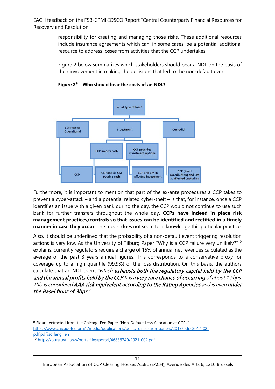responsibility for creating and managing those risks. These additional resources include insurance agreements which can, in some cases, be a potential additional resource to address losses from activities that the CCP undertakes.

Figure 2 below summarizes which stakeholders should bear a NDL on the basis of their involvement in making the decisions that led to the non-default event.





Furthermore, it is important to mention that part of the ex-ante procedures a CCP takes to prevent a cyber-attack – and a potential related cyber-theft – is that, for instance, once a CCP identifies an issue with a given bank during the day, the CCP would not continue to use such bank for further transfers throughout the whole day. **CCPs have indeed in place risk management practices/controls so that issues can be identified and rectified in a timely manner in case they occur**. The report does not seem to acknowledge this particular practice.

Also, it should be underlined that the probability of a non-default event triggering resolution actions is very low. As the University of Tilburg Paper "Why is a CCP failure very unlikely?"<sup>[10](#page-10-1)</sup> explains, currently regulators require a charge of 15% of annual net revenues calculated as the average of the past 3 years annual figures. This corresponds to a conservative proxy for coverage up to a high quantile (99.9%) of the loss distribution. On this basis, the authors calculate that an NDL event "which exhausts both the regulatory capital held by the CCP and the annual profits held by the CCP has a very rare chance of occurring of about 1.5bps. This is considered AAA risk equivalent according to the Rating Agencies and is even under the Basel floor of 3bps.".

<span id="page-10-0"></span><sup>9</sup> Figure extracted from the Chicago Fed Paper "Non-Default Loss Allocation at CCPs": [https://www.chicagofed.org/-/media/publications/policy-discussion-papers/2017/pdp-2017-02](https://www.chicagofed.org/-/media/publications/policy-discussion-papers/2017/pdp-2017-02-pdf.pdf?sc_lang=en) [pdf.pdf?sc\\_lang=en](https://www.chicagofed.org/-/media/publications/policy-discussion-papers/2017/pdp-2017-02-pdf.pdf?sc_lang=en)

<span id="page-10-1"></span><sup>10</sup> [https://pure.uvt.nl/ws/portalfiles/portal/46839740/2021\\_002.pdf](https://pure.uvt.nl/ws/portalfiles/portal/46839740/2021_002.pdf)